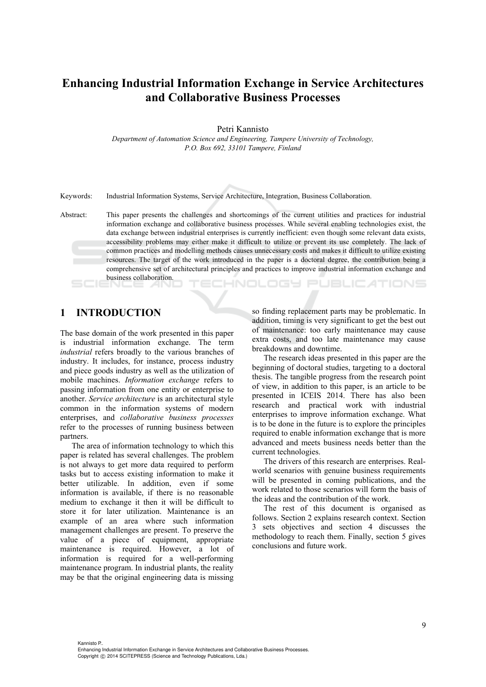# **Enhancing Industrial Information Exchange in Service Architectures and Collaborative Business Processes**

Petri Kannisto

*Department of Automation Science and Engineering, Tampere University of Technology, P.O. Box 692, 33101 Tampere, Finland* 

Keywords: Industrial Information Systems, Service Architecture, Integration, Business Collaboration.

Abstract: This paper presents the challenges and shortcomings of the current utilities and practices for industrial information exchange and collaborative business processes. While several enabling technologies exist, the data exchange between industrial enterprises is currently inefficient: even though some relevant data exists, accessibility problems may either make it difficult to utilize or prevent its use completely. The lack of common practices and modelling methods causes unnecessary costs and makes it difficult to utilize existing resources. The target of the work introduced in the paper is a doctoral degree, the contribution being a comprehensive set of architectural principles and practices to improve industrial information exchange and business collaboration.

### CHNOLOGY PUBLICATIONS

### **1 INTRODUCTION**

The base domain of the work presented in this paper is industrial information exchange. The term *industrial* refers broadly to the various branches of industry. It includes, for instance, process industry and piece goods industry as well as the utilization of mobile machines. *Information exchange* refers to passing information from one entity or enterprise to another. *Service architecture* is an architectural style common in the information systems of modern enterprises, and *collaborative business processes* refer to the processes of running business between partners.

The area of information technology to which this paper is related has several challenges. The problem is not always to get more data required to perform tasks but to access existing information to make it better utilizable. In addition, even if some information is available, if there is no reasonable medium to exchange it then it will be difficult to store it for later utilization. Maintenance is an example of an area where such information management challenges are present. To preserve the value of a piece of equipment, appropriate maintenance is required. However, a lot of information is required for a well-performing maintenance program. In industrial plants, the reality may be that the original engineering data is missing so finding replacement parts may be problematic. In addition, timing is very significant to get the best out of maintenance: too early maintenance may cause extra costs, and too late maintenance may cause breakdowns and downtime.

The research ideas presented in this paper are the beginning of doctoral studies, targeting to a doctoral thesis. The tangible progress from the research point of view, in addition to this paper, is an article to be presented in ICEIS 2014. There has also been research and practical work with industrial enterprises to improve information exchange. What is to be done in the future is to explore the principles required to enable information exchange that is more advanced and meets business needs better than the current technologies.

The drivers of this research are enterprises. Realworld scenarios with genuine business requirements will be presented in coming publications, and the work related to those scenarios will form the basis of the ideas and the contribution of the work.

The rest of this document is organised as follows. Section 2 explains research context. Section 3 sets objectives and section 4 discusses the methodology to reach them. Finally, section 5 gives conclusions and future work.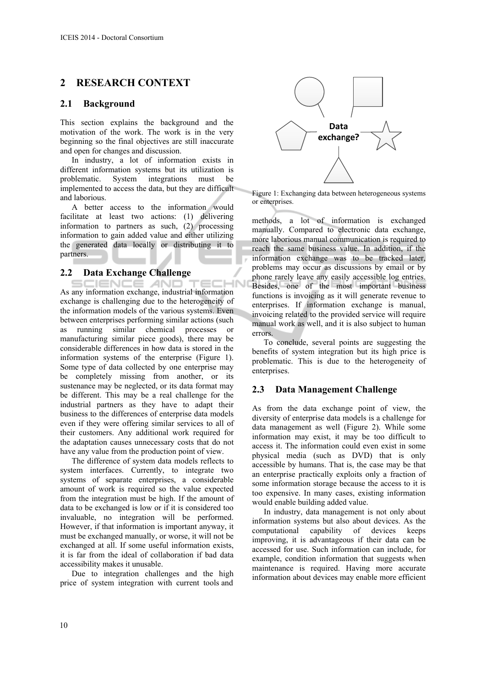# **2 RESEARCH CONTEXT**

### **2.1 Background**

This section explains the background and the motivation of the work. The work is in the very beginning so the final objectives are still inaccurate and open for changes and discussion.

In industry, a lot of information exists in different information systems but its utilization is<br>problematic. System integrations must be problematic. System integrations must be implemented to access the data, but they are difficult and laborious.

A better access to the information would facilitate at least two actions: (1) delivering information to partners as such, (2) processing information to gain added value and either utilizing the generated data locally or distributing it to partners.

### **2.2 Data Exchange Challenge**

SCIENCE *A*ND 'HN As any information exchange, industrial information exchange is challenging due to the heterogeneity of the information models of the various systems. Even between enterprises performing similar actions (such as running similar chemical processes or manufacturing similar piece goods), there may be considerable differences in how data is stored in the information systems of the enterprise (Figure 1). Some type of data collected by one enterprise may be completely missing from another, or its sustenance may be neglected, or its data format may be different. This may be a real challenge for the industrial partners as they have to adapt their business to the differences of enterprise data models even if they were offering similar services to all of their customers. Any additional work required for the adaptation causes unnecessary costs that do not have any value from the production point of view.

The difference of system data models reflects to system interfaces. Currently, to integrate two systems of separate enterprises, a considerable amount of work is required so the value expected from the integration must be high. If the amount of data to be exchanged is low or if it is considered too invaluable, no integration will be performed. However, if that information is important anyway, it must be exchanged manually, or worse, it will not be exchanged at all. If some useful information exists, it is far from the ideal of collaboration if bad data accessibility makes it unusable.

Due to integration challenges and the high price of system integration with current tools and



Figure 1: Exchanging data between heterogeneous systems or enterprises.

methods, a lot of information is exchanged manually. Compared to electronic data exchange, more laborious manual communication is required to reach the same business value. In addition, if the information exchange was to be tracked later, problems may occur as discussions by email or by phone rarely leave any easily accessible log entries. Besides, one of the most important business functions is invoicing as it will generate revenue to enterprises. If information exchange is manual, invoicing related to the provided service will require manual work as well, and it is also subject to human errors.

To conclude, several points are suggesting the benefits of system integration but its high price is problematic. This is due to the heterogeneity of enterprises.

### **2.3 Data Management Challenge**

As from the data exchange point of view, the diversity of enterprise data models is a challenge for data management as well (Figure 2). While some information may exist, it may be too difficult to access it. The information could even exist in some physical media (such as DVD) that is only accessible by humans. That is, the case may be that an enterprise practically exploits only a fraction of some information storage because the access to it is too expensive. In many cases, existing information would enable building added value.

In industry, data management is not only about information systems but also about devices. As the computational capability of devices keeps improving, it is advantageous if their data can be accessed for use. Such information can include, for example, condition information that suggests when maintenance is required. Having more accurate information about devices may enable more efficient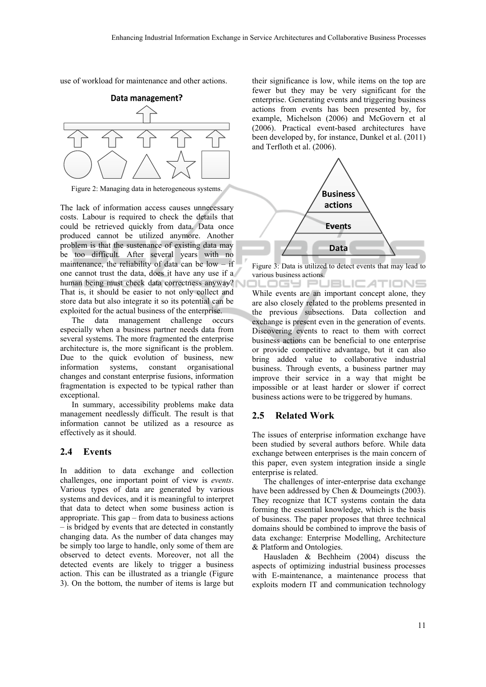use of workload for maintenance and other actions.



Figure 2: Managing data in heterogeneous systems.

The lack of information access causes unnecessary costs. Labour is required to check the details that could be retrieved quickly from data. Data once produced cannot be utilized anymore. Another problem is that the sustenance of existing data may be too difficult. After several years with no maintenance, the reliability of data can be low  $-$  if one cannot trust the data, does it have any use if a human being must check data correctness anyway? That is, it should be easier to not only collect and store data but also integrate it so its potential can be exploited for the actual business of the enterprise.

The data management challenge occurs especially when a business partner needs data from several systems. The more fragmented the enterprise architecture is, the more significant is the problem. Due to the quick evolution of business, new information systems, constant organisational changes and constant enterprise fusions, information fragmentation is expected to be typical rather than exceptional.

In summary, accessibility problems make data management needlessly difficult. The result is that information cannot be utilized as a resource as effectively as it should.

### **2.4 Events**

In addition to data exchange and collection challenges, one important point of view is *events*. Various types of data are generated by various systems and devices, and it is meaningful to interpret that data to detect when some business action is appropriate. This gap – from data to business actions – is bridged by events that are detected in constantly changing data. As the number of data changes may be simply too large to handle, only some of them are observed to detect events. Moreover, not all the detected events are likely to trigger a business action. This can be illustrated as a triangle (Figure 3). On the bottom, the number of items is large but

their significance is low, while items on the top are fewer but they may be very significant for the enterprise. Generating events and triggering business actions from events has been presented by, for example, Michelson (2006) and McGovern et al (2006). Practical event-based architectures have been developed by, for instance, Dunkel et al. (2011) and Terfloth et al. (2006).



Figure 3: Data is utilized to detect events that may lead to various business actions.

.OGY PUBLIC*A*TIONS While events are an important concept alone, they are also closely related to the problems presented in the previous subsections. Data collection and exchange is present even in the generation of events. Discovering events to react to them with correct business actions can be beneficial to one enterprise or provide competitive advantage, but it can also bring added value to collaborative industrial business. Through events, a business partner may improve their service in a way that might be impossible or at least harder or slower if correct business actions were to be triggered by humans.

#### **2.5 Related Work**

The issues of enterprise information exchange have been studied by several authors before. While data exchange between enterprises is the main concern of this paper, even system integration inside a single enterprise is related.

The challenges of inter-enterprise data exchange have been addressed by Chen & Doumeingts (2003). They recognize that ICT systems contain the data forming the essential knowledge, which is the basis of business. The paper proposes that three technical domains should be combined to improve the basis of data exchange: Enterprise Modelling, Architecture & Platform and Ontologies.

Hausladen & Bechheim (2004) discuss the aspects of optimizing industrial business processes with E-maintenance, a maintenance process that exploits modern IT and communication technology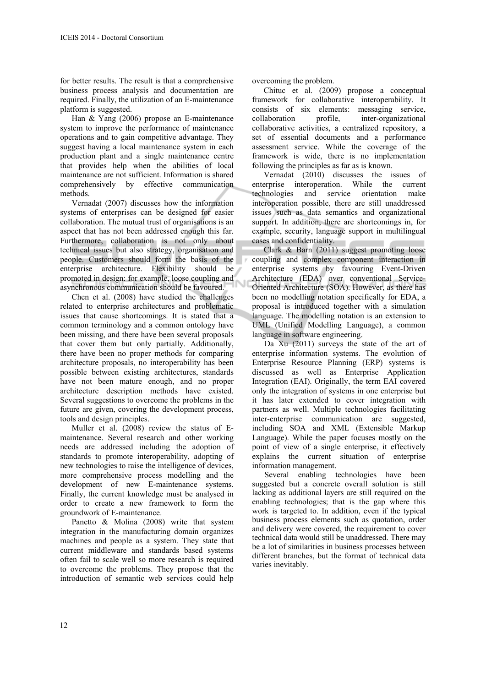for better results. The result is that a comprehensive business process analysis and documentation are required. Finally, the utilization of an E-maintenance platform is suggested.

Han & Yang (2006) propose an E-maintenance system to improve the performance of maintenance operations and to gain competitive advantage. They suggest having a local maintenance system in each production plant and a single maintenance centre that provides help when the abilities of local maintenance are not sufficient. Information is shared comprehensively by effective communication methods.

Vernadat (2007) discusses how the information systems of enterprises can be designed for easier collaboration. The mutual trust of organisations is an aspect that has not been addressed enough this far. Furthermore, collaboration is not only about technical issues but also strategy, organisation and people. Customers should form the basis of the enterprise architecture. Flexibility should be promoted in design: for example, loose coupling and asynchronous communication should be favoured.

Chen et al. (2008) have studied the challenges related to enterprise architectures and problematic issues that cause shortcomings. It is stated that a common terminology and a common ontology have been missing, and there have been several proposals that cover them but only partially. Additionally, there have been no proper methods for comparing architecture proposals, no interoperability has been possible between existing architectures, standards have not been mature enough, and no proper architecture description methods have existed. Several suggestions to overcome the problems in the future are given, covering the development process, tools and design principles.

Muller et al. (2008) review the status of Emaintenance. Several research and other working needs are addressed including the adoption of standards to promote interoperability, adopting of new technologies to raise the intelligence of devices, more comprehensive process modelling and the development of new E-maintenance systems. Finally, the current knowledge must be analysed in order to create a new framework to form the groundwork of E-maintenance.

Panetto & Molina (2008) write that system integration in the manufacturing domain organizes machines and people as a system. They state that current middleware and standards based systems often fail to scale well so more research is required to overcome the problems. They propose that the introduction of semantic web services could help overcoming the problem.

Chituc et al. (2009) propose a conceptual framework for collaborative interoperability. It consists of six elements: messaging service, collaboration profile, inter-organizational collaborative activities, a centralized repository, a set of essential documents and a performance assessment service. While the coverage of the framework is wide, there is no implementation following the principles as far as is known.

Vernadat (2010) discusses the issues of enterprise interoperation. While the current technologies and service orientation make interoperation possible, there are still unaddressed issues such as data semantics and organizational support. In addition, there are shortcomings in, for example, security, language support in multilingual cases and confidentiality.

Clark & Barn (2011) suggest promoting loose coupling and complex component interaction in enterprise systems by favouring Event-Driven Architecture (EDA) over conventional Service-Oriented Architecture (SOA). However, as there has been no modelling notation specifically for EDA, a proposal is introduced together with a simulation language. The modelling notation is an extension to UML (Unified Modelling Language), a common language in software engineering.

Da Xu (2011) surveys the state of the art of enterprise information systems. The evolution of Enterprise Resource Planning (ERP) systems is discussed as well as Enterprise Application Integration (EAI). Originally, the term EAI covered only the integration of systems in one enterprise but it has later extended to cover integration with partners as well. Multiple technologies facilitating inter-enterprise communication are suggested, including SOA and XML (Extensible Markup Language). While the paper focuses mostly on the point of view of a single enterprise, it effectively explains the current situation of enterprise information management.

Several enabling technologies have been suggested but a concrete overall solution is still lacking as additional layers are still required on the enabling technologies; that is the gap where this work is targeted to. In addition, even if the typical business process elements such as quotation, order and delivery were covered, the requirement to cover technical data would still be unaddressed. There may be a lot of similarities in business processes between different branches, but the format of technical data varies inevitably.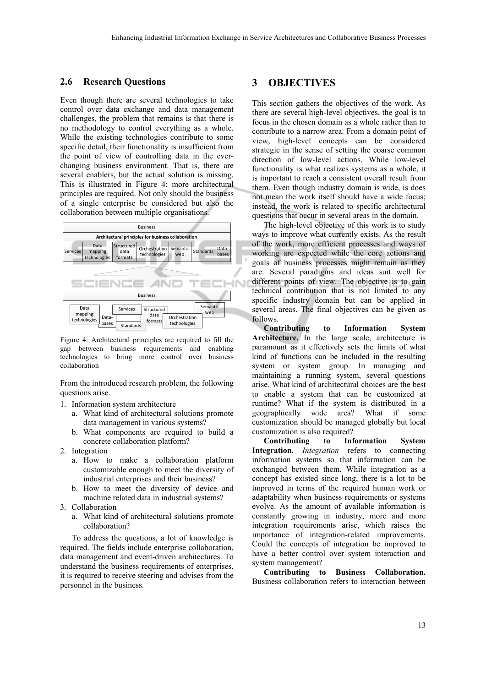#### **2.6 Research Questions**

Even though there are several technologies to take control over data exchange and data management challenges, the problem that remains is that there is no methodology to control everything as a whole. While the existing technologies contribute to some specific detail, their functionality is insufficient from the point of view of controlling data in the everchanging business environment. That is, there are several enablers, but the actual solution is missing. This is illustrated in Figure 4: more architectural principles are required. Not only should the business of a single enterprise be considered but also the collaboration between multiple organisations.



Figure 4: Architectural principles are required to fill the gap between business requirements and enabling technologies to bring more control over business collaboration

From the introduced research problem, the following questions arise.

- 1. Information system architecture
	- a. What kind of architectural solutions promote data management in various systems?
	- b. What components are required to build a concrete collaboration platform?
- 2. Integration
	- a. How to make a collaboration platform customizable enough to meet the diversity of industrial enterprises and their business?
	- b. How to meet the diversity of device and machine related data in industrial systems?
- 3. Collaboration
	- a. What kind of architectural solutions promote collaboration?

To address the questions, a lot of knowledge is required. The fields include enterprise collaboration, data management and event-driven architectures. To understand the business requirements of enterprises, it is required to receive steering and advises from the personnel in the business.

### **3 OBJECTIVES**

This section gathers the objectives of the work. As there are several high-level objectives, the goal is to focus in the chosen domain as a whole rather than to contribute to a narrow area. From a domain point of view, high-level concepts can be considered strategic in the sense of setting the coarse common direction of low-level actions. While low-level functionality is what realizes systems as a whole, it is important to reach a consistent overall result from them. Even though industry domain is wide, is does not mean the work itself should have a wide focus; instead, the work is related to specific architectural questions that occur in several areas in the domain.

The high-level objective of this work is to study ways to improve what currently exists. As the result of the work, more efficient processes and ways of working are expected while the core actions and goals of business processes might remain as they are. Several paradigms and ideas suit well for different points of view. The objective is to gain technical contribution that is not limited to any specific industry domain but can be applied in several areas. The final objectives can be given as follows.

**Contributing to Information System Architecture.** In the large scale, architecture is paramount as it effectively sets the limits of what kind of functions can be included in the resulting system or system group. In managing and maintaining a running system, several questions arise. What kind of architectural choices are the best to enable a system that can be customized at runtime? What if the system is distributed in a geographically wide area? What if some customization should be managed globally but local customization is also required?

**Contributing to Information System Integration.** *Integration* refers to connecting information systems so that information can be exchanged between them. While integration as a concept has existed since long, there is a lot to be improved in terms of the required human work or adaptability when business requirements or systems evolve. As the amount of available information is constantly growing in industry, more and more integration requirements arise, which raises the importance of integration-related improvements. Could the concepts of integration be improved to have a better control over system interaction and system management?

**Contributing to Business Collaboration.** Business collaboration refers to interaction between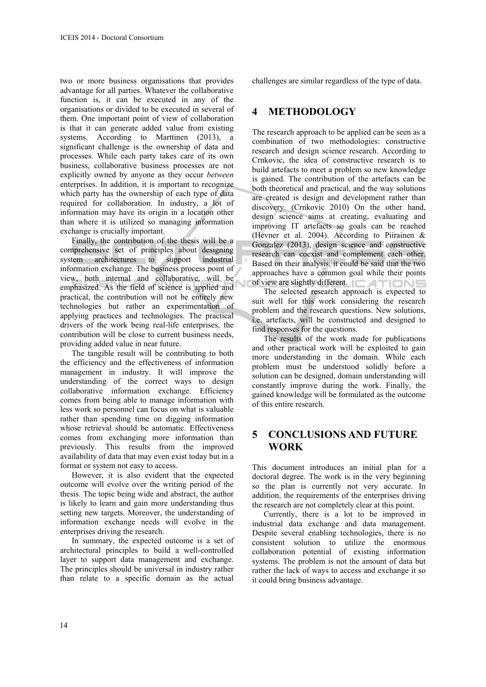two or more business organisations that provides advantage for all parties. Whatever the collaborative function is, it can be executed in any of the organisations or divided to be executed in several of them. One important point of view of collaboration is that it can generate added value from existing systems. According to Marttinen (2013), a significant challenge is the ownership of data and processes. While each party takes care of its own business, collaborative business processes are not explicitly owned by anyone as they occur *between* enterprises. In addition, it is important to recognize which party has the ownership of each type of data required for collaboration. In industry, a lot of information may have its origin in a location other than where it is utilized so managing information exchange is crucially important.

Finally, the contribution of the thesis will be a comprehensive set of principles about designing system architectures to support industrial information exchange. The business process point of view, both internal and collaborative, will be emphasized. As the field of science is applied and practical, the contribution will not be entirely new technologies but rather an experimentation of applying practices and technologies. The practical drivers of the work being real-life enterprises, the contribution will be close to current business needs, providing added value in near future.

The tangible result will be contributing to both the efficiency and the effectiveness of information management in industry. It will improve the understanding of the correct ways to design collaborative information exchange. Efficiency comes from being able to manage information with less work so personnel can focus on what is valuable rather than spending time on digging information whose retrieval should be automatic. Effectiveness comes from exchanging more information than previously. This results from the improved availability of data that may even exist today but in a format or system not easy to access.

However, it is also evident that the expected outcome will evolve over the writing period of the thesis. The topic being wide and abstract, the author is likely to learn and gain more understanding thus setting new targets. Moreover, the understanding of information exchange needs will evolve in the enterprises driving the research.

In summary, the expected outcome is a set of architectural principles to build a well-controlled layer to support data management and exchange. The principles should be universal in industry rather than relate to a specific domain as the actual challenges are similar regardless of the type of data.

### **4 METHODOLOGY**

The research approach to be applied can be seen as a combination of two methodologies: constructive research and design science research. According to Crnkovic, the idea of constructive research is to build artefacts to meet a problem so new knowledge is gained. The contribution of the artefacts can be both theoretical and practical, and the way solutions are created is design and development rather than discovery. (Crnkovic 2010) On the other hand, design science aims at creating, evaluating and improving IT artefacts so goals can be reached (Hevner et al. 2004). According to Piirainen  $\&$ Gonzalez (2013), design science and constructive research can coexist and complement each other. Based on their analysis, it could be said that the two approaches have a common goal while their points of view are slightly different.  $\Box$   $\Box$ 

The selected research approach is expected to suit well for this work considering the research problem and the research questions. New solutions, i.e. artefacts, will be constructed and designed to find responses for the questions.

The results of the work made for publications and other practical work will be exploited to gain more understanding in the domain. While each problem must be understood solidly before a solution can be designed, domain understanding will constantly improve during the work. Finally, the gained knowledge will be formulated as the outcome of this entire research.

# **5 CONCLUSIONS AND FUTURE WORK**

This document introduces an initial plan for a doctoral degree. The work is in the very beginning so the plan is currently not very accurate. In addition, the requirements of the enterprises driving the research are not completely clear at this point.

Currently, there is a lot to be improved in industrial data exchange and data management. Despite several enabling technologies, there is no consistent solution to utilize the enormous collaboration potential of existing information systems. The problem is not the amount of data but rather the lack of ways to access and exchange it so it could bring business advantage.